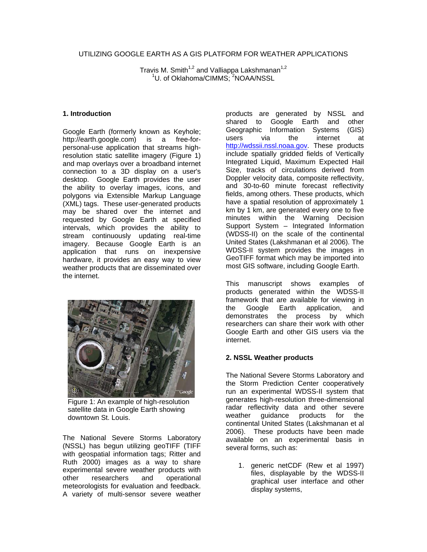# UTILIZING GOOGLE EARTH AS A GIS PLATFORM FOR WEATHER APPLICATIONS

Travis M. Smith<sup>1,2</sup> and Valliappa Lakshmanan<sup>1,2</sup> <sup>1</sup>U. of Oklahoma/CIMMS; <sup>2</sup>NOAA/NSSL

# **1. Introduction**

Google Earth (formerly known as Keyhole; http://earth.google.com) is a free-forpersonal-use application that streams highresolution static satellite imagery (Figure 1) and map overlays over a broadband internet connection to a 3D display on a user's desktop. Google Earth provides the user the ability to overlay images, icons, and polygons via Extensible Markup Language (XML) tags. These user-generated products may be shared over the internet and requested by Google Earth at specified intervals, which provides the ability to stream continuously updating real-time imagery. Because Google Earth is an application that runs on inexpensive hardware, it provides an easy way to view weather products that are disseminated over the internet.



Figure 1: An example of high-resolution satellite data in Google Earth showing downtown St. Louis.

The National Severe Storms Laboratory (NSSL) has begun utilizing geoTIFF (TIFF with geospatial information tags; Ritter and Ruth 2000) images as a way to share experimental severe weather products with other researchers and operational meteorologists for evaluation and feedback. A variety of multi-sensor severe weather

products are generated by NSSL and shared to Google Earth and other Geographic Information Systems (GIS) users via the internet at [http://wdssii.nssl.noaa.gov.](http://wdssii.nssl.noaa.gov/) These products include spatially gridded fields of Vertically Integrated Liquid, Maximum Expected Hail Size, tracks of circulations derived from Doppler velocity data, composite reflectivity, and 30-to-60 minute forecast reflectivity fields, among others. These products, which have a spatial resolution of approximately 1 km by 1 km, are generated every one to five minutes within the Warning Decision Support System – Integrated Information (WDSS-II) on the scale of the continental United States (Lakshmanan et al 2006). The WDSS-II system provides the images in GeoTIFF format which may be imported into most GIS software, including Google Earth.

This manuscript shows examples of products generated within the WDSS-II framework that are available for viewing in the Google Earth application, and demonstrates the process by which researchers can share their work with other Google Earth and other GIS users via the internet.

## **2. NSSL Weather products**

The National Severe Storms Laboratory and the Storm Prediction Center cooperatively run an experimental WDSS-II system that generates high-resolution three-dimensional radar reflectivity data and other severe weather guidance products for the continental United States (Lakshmanan et al 2006). These products have been made available on an experimental basis in several forms, such as:

1. generic netCDF (Rew et al 1997) files, displayable by the WDSS-II graphical user interface and other display systems,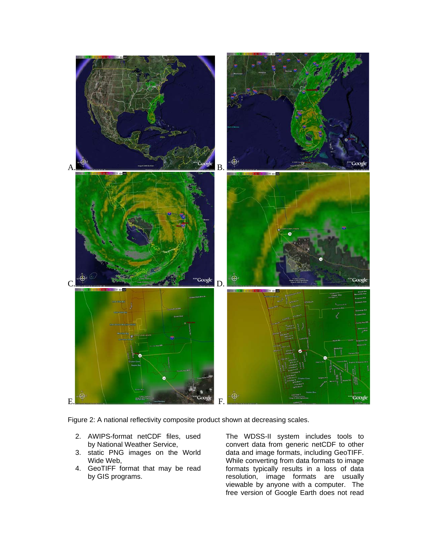

Figure 2: A national reflectivity composite product shown at decreasing scales.

- 2. AWIPS-format netCDF files, used by National Weather Service,
- 3. static PNG images on the World Wide Web,
- 4. GeoTIFF format that may be read by GIS programs.

The WDSS-II system includes tools to convert data from generic netCDF to other data and image formats, including GeoTIFF. While converting from data formats to image formats typically results in a loss of data resolution, image formats are usually viewable by anyone with a computer. The free version of Google Earth does not read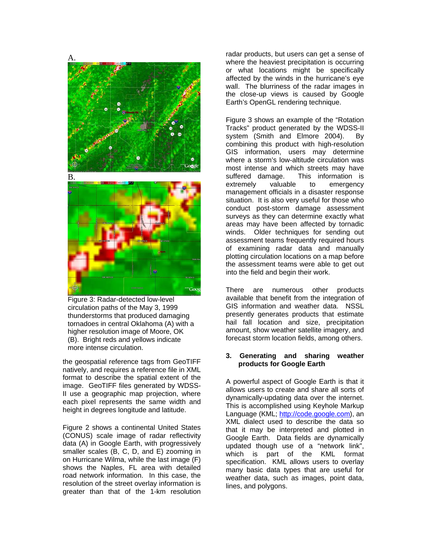

Figure 3: Radar-detected low-level circulation paths of the May 3, 1999 thunderstorms that produced damaging tornadoes in central Oklahoma (A) with a higher resolution image of Moore, OK (B). Bright reds and yellows indicate more intense circulation.

the geospatial reference tags from GeoTIFF natively, and requires a reference file in XML format to describe the spatial extent of the image. GeoTIFF files generated by WDSS-II use a geographic map projection, where each pixel represents the same width and height in degrees longitude and latitude.

Figure 2 shows a continental United States (CONUS) scale image of radar reflectivity data (A) in Google Earth, with progressively smaller scales (B, C, D, and E) zooming in on Hurricane Wilma, while the last image (F) shows the Naples, FL area with detailed road network information. In this case, the resolution of the street overlay information is greater than that of the 1-km resolution

radar products, but users can get a sense of where the heaviest precipitation is occurring or what locations might be specifically affected by the winds in the hurricane's eye wall. The blurriness of the radar images in the close-up views is caused by Google Earth's OpenGL rendering technique.

Figure 3 shows an example of the "Rotation Tracks" product generated by the WDSS-II system (Smith and Elmore 2004). By combining this product with high-resolution GIS information, users may determine where a storm's low-altitude circulation was most intense and which streets may have suffered damage. This information is extremely valuable to emergency management officials in a disaster response situation. It is also very useful for those who conduct post-storm damage assessment surveys as they can determine exactly what areas may have been affected by tornadic winds. Older techniques for sending out assessment teams frequently required hours of examining radar data and manually plotting circulation locations on a map before the assessment teams were able to get out into the field and begin their work.

There are numerous other products available that benefit from the integration of GIS information and weather data. NSSL presently generates products that estimate hail fall location and size, precipitation amount, show weather satellite imagery, and forecast storm location fields, among others.

## **3. Generating and sharing weather products for Google Earth**

A powerful aspect of Google Earth is that it allows users to create and share all sorts of dynamically-updating data over the internet. This is accomplished using Keyhole Markup Language (KML; [http://code.google.com\)](http://code.google.com/), an XML dialect used to describe the data so that it may be interpreted and plotted in Google Earth. Data fields are dynamically updated though use of a "network link", which is part of the KML format specification. KML allows users to overlay many basic data types that are useful for weather data, such as images, point data, lines, and polygons.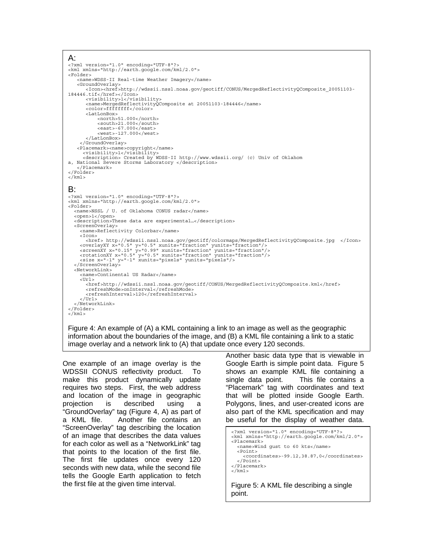```
A: 
<?xml version="1.0" encoding="UTF-8"?> 
<kml xmlns="http://earth.google.com/kml/2.0"> 
<Folder> 
     <name>WDSS-II Real-time Weather Imagery</name> 
     <GroundOverlay> 
        <Icon><href>http://wdssii.nssl.noaa.gov/geotiff/CONUS/MergedReflectivityQComposite_20051103-
184446.tif</href></Icon> 
        <visibility>1</visibility> 
 <name>MergedReflectivityQComposite at 20051103-184446</name> 
 <color>ffffffff</color> 
        <LatLonBox> 
             <north>51.000</north> 
             <south>21.000</south> 
             <east>-67.000</east> 
             <west>-127.000</west> 
        </LatLonBox> 
      </GroundOverlay> 
 <Placemark><name>copyright</name> 
 <visibility>1</visibility> 
       <description> Created by WDSS-II http://www.wdssii.org/ (c) Univ of Oklahom 
a, National Severe Storms Laboratory </description> 
     </Placemark> 
</Folder> 
\langlekml>B: 
<?xml version="1.0" encoding="UTF-8"?> 
<kml xmlns="http://earth.google.com/kml/2.0"> 
<Folder> 
   <name>NSSL / U. of Oklahoma CONUS radar</name> 
   <open>1</open> 
   <description>These data are experimental…</description> 
   <ScreenOverlay> 
      <name>Reflectivity Colorbar</name> 
      <Icon> 
<href> http://wdssii.nssl.noaa.gov/geotiff/colormaps/MergedReflectivityQComposite.jpg </Icon><br><overlayXY x="0.5" y="0.5" xunits="fraction" yunits="fraction"/><br><screenXY x="0.15" y="0.9" xunits="fraction" yunits="fraction"/
   </ScreenOverlay> 
   <NetworkLink> 
     <name>Continental US Radar</name> 
      <Url> 
 <href>http://wdssii.nssl.noaa.gov/geotiff/CONUS/MergedReflectivityQComposite.kml</href> 
 <refreshMode>onInterval</refreshMode> 
         <refreshInterval>120</refreshInterval> 
     \epsilon/Url>
   </NetworkLink> 
</Folder> 
\epsilon/kml\sim
```
Figure 4: An example of (A) a KML containing a link to an image as well as the geographic information about the boundaries of the image, and (B) a KML file containing a link to a static image overlay and a network link to (A) that update once every 120 seconds.

One example of an image overlay is the WDSSII CONUS reflectivity product. To make this product dynamically update requires two steps. First, the web address and location of the image in geographic projection is described using a "GroundOverlay" tag (Figure 4, A) as part of a KML file. Another file contains an "ScreenOverlay" tag describing the location of an image that describes the data values for each color as well as a "NetworkLink" tag that points to the location of the first file. The first file updates once every 120 seconds with new data, while the second file tells the Google Earth application to fetch the first file at the given time interval.

Another basic data type that is viewable in Google Earth is simple point data. Figure 5 shows an example KML file containing a single data point. This file contains a "Placemark" tag with coordinates and text that will be plotted inside Google Earth. Polygons, lines, and user-created icons are also part of the KML specification and may be useful for the display of weather data.

```
<?xml version="1.0" encoding="UTF-8"?> 
<kml xmlns="http://earth.google.com/kml/2.0"> 
<Placemark> 
   <name>Wind gust to 60 kts</name> 
   <Point> 
     <coordinates>-99.12,38.87,0</coordinates> 
   </Point> 
</Placemark> 
\frac{1}{2} kml >Figure 5: A KML file describing a single
```
point.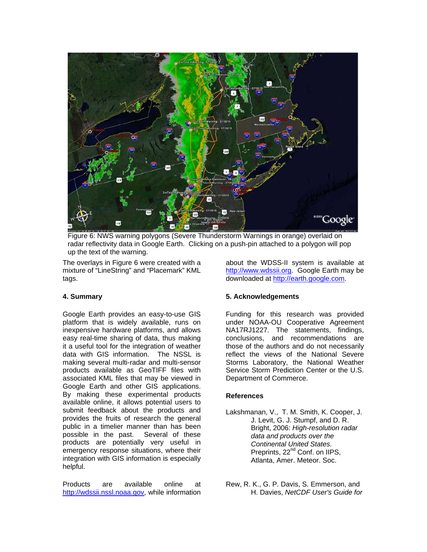

Figure 6: NWS warning polygons (Severe Thunderstorm Warnings in orange) overlaid on radar reflectivity data in Google Earth. Clicking on a push-pin attached to a polygon will pop up the text of the warning.

The overlays in Figure 6 were created with a mixture of "LineString" and "Placemark" KML tags.

about the WDSS-II system is available at [http://www.wdssii.org.](http://www.wdssii.org/) Google Earth may be downloaded at [http://earth.google.com](http://earth.google.com/).

## **4. Summary**

Google Earth provides an easy-to-use GIS platform that is widely available, runs on inexpensive hardware platforms, and allows easy real-time sharing of data, thus making it a useful tool for the integration of weather data with GIS information. The NSSL is making several multi-radar and multi-sensor products available as GeoTIFF files with associated KML files that may be viewed in Google Earth and other GIS applications. By making these experimental products available online, it allows potential users to submit feedback about the products and provides the fruits of research the general public in a timelier manner than has been possible in the past. Several of these products are potentially very useful in emergency response situations, where their integration with GIS information is especially helpful.

Products are available online at [http://wdssii.nssl.noaa.gov,](http://wdssii.nssl.noaa.gov/) while information

# **5. Acknowledgements**

Funding for this research was provided under NOAA-OU Cooperative Agreement NA17RJ1227. The statements, findings, conclusions, and recommendations are those of the authors and do not necessarily reflect the views of the National Severe Storms Laboratory, the National Weather Service Storm Prediction Center or the U.S. Department of Commerce.

## **References**

- Lakshmanan, V., T. M. Smith, K. Cooper, J. J. Levit, G. J. Stumpf, and D. R. Bright, 2006: *High-resolution radar data and products over the Continental United States.*  Preprints, 22<sup>nd</sup> Conf. on IIPS, Atlanta, Amer. Meteor. Soc.
- Rew, R. K., G. P. Davis, S. Emmerson, and H. Davies, *NetCDF User's Guide for*